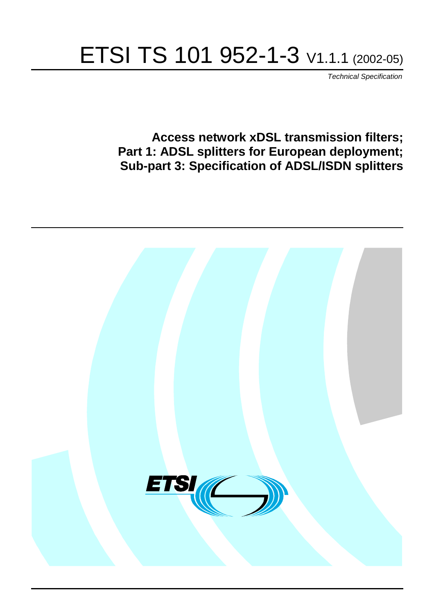# ETSI TS 101 952-1-3 V1.1.1 (2002-05)

Technical Specification

**Access network xDSL transmission filters; Part 1: ADSL splitters for European deployment; Sub-part 3: Specification of ADSL/ISDN splitters**

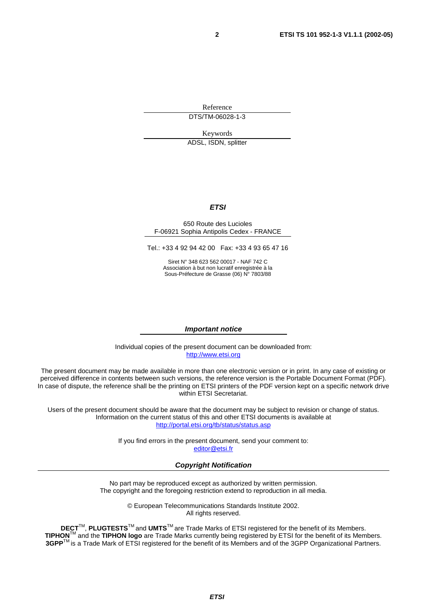Reference DTS/TM-06028-1-3

Keywords

ADSL, ISDN, splitter

#### **ETSI**

#### 650 Route des Lucioles F-06921 Sophia Antipolis Cedex - FRANCE

Tel.: +33 4 92 94 42 00 Fax: +33 4 93 65 47 16

Siret N° 348 623 562 00017 - NAF 742 C Association à but non lucratif enregistrée à la Sous-Préfecture de Grasse (06) N° 7803/88

#### **Important notice**

Individual copies of the present document can be downloaded from: [http://www.etsi.org](http://www.etsi.org/)

The present document may be made available in more than one electronic version or in print. In any case of existing or perceived difference in contents between such versions, the reference version is the Portable Document Format (PDF). In case of dispute, the reference shall be the printing on ETSI printers of the PDF version kept on a specific network drive within ETSI Secretariat.

Users of the present document should be aware that the document may be subject to revision or change of status. Information on the current status of this and other ETSI documents is available at <http://portal.etsi.org/tb/status/status.asp>

> If you find errors in the present document, send your comment to: [editor@etsi.fr](mailto:editor@etsi.fr)

#### **Copyright Notification**

No part may be reproduced except as authorized by written permission. The copyright and the foregoing restriction extend to reproduction in all media.

> © European Telecommunications Standards Institute 2002. All rights reserved.

**DECT**TM, **PLUGTESTS**TM and **UMTS**TM are Trade Marks of ETSI registered for the benefit of its Members. **TIPHON**TM and the **TIPHON logo** are Trade Marks currently being registered by ETSI for the benefit of its Members. **3GPP**TM is a Trade Mark of ETSI registered for the benefit of its Members and of the 3GPP Organizational Partners.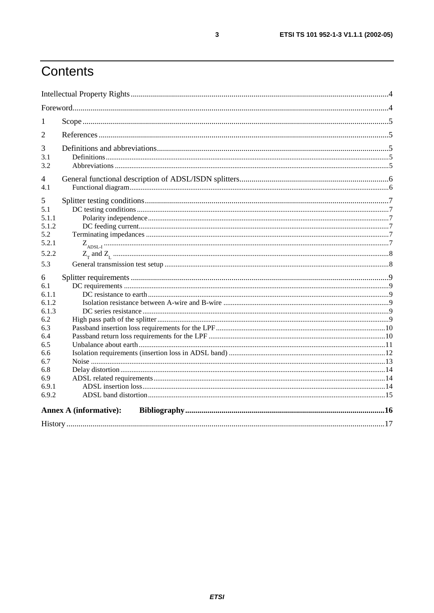# Contents

| 1                                                                                                             |                               |  |
|---------------------------------------------------------------------------------------------------------------|-------------------------------|--|
| $\overline{2}$                                                                                                |                               |  |
| 3<br>3.1<br>3.2                                                                                               |                               |  |
| 4<br>4.1                                                                                                      |                               |  |
| 5<br>5.1<br>5.1.1<br>5.1.2<br>5.2<br>5.2.1<br>5.2.2                                                           |                               |  |
| 5.3                                                                                                           |                               |  |
| 6<br>6.1<br>6.1.1<br>6.1.2<br>6.1.3<br>6.2<br>6.3<br>6.4<br>6.5<br>6.6<br>6.7<br>6.8<br>6.9<br>6.9.1<br>6.9.2 |                               |  |
|                                                                                                               | <b>Annex A (informative):</b> |  |
|                                                                                                               |                               |  |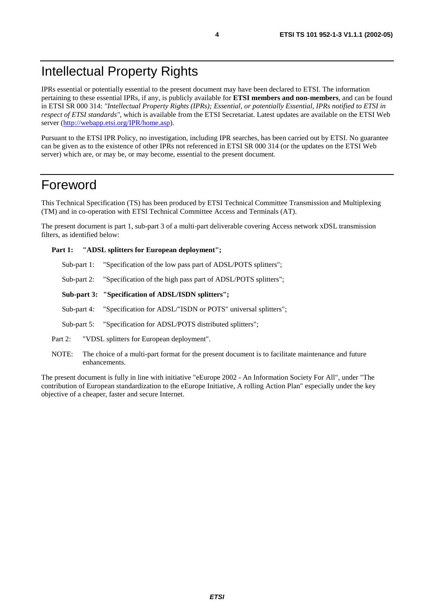IPRs essential or potentially essential to the present document may have been declared to ETSI. The information pertaining to these essential IPRs, if any, is publicly available for **ETSI members and non-members**, and can be found in ETSI SR 000 314: *"Intellectual Property Rights (IPRs); Essential, or potentially Essential, IPRs notified to ETSI in respect of ETSI standards"*, which is available from the ETSI Secretariat. Latest updates are available on the ETSI Web server ([http://webapp.etsi.org/IPR/home.asp\)](http://webapp.etsi.org/IPR/home.asp).

Pursuant to the ETSI IPR Policy, no investigation, including IPR searches, has been carried out by ETSI. No guarantee can be given as to the existence of other IPRs not referenced in ETSI SR 000 314 (or the updates on the ETSI Web server) which are, or may be, or may become, essential to the present document.

### Foreword

This Technical Specification (TS) has been produced by ETSI Technical Committee Transmission and Multiplexing (TM) and in co-operation with ETSI Technical Committee Access and Terminals (AT).

The present document is part 1, sub-part 3 of a multi-part deliverable covering Access network xDSL transmission filters, as identified below:

#### **Part 1: "ADSL splitters for European deployment";**

- Sub-part 1: "Specification of the low pass part of ADSL/POTS splitters";
- Sub-part 2: "Specification of the high pass part of ADSL/POTS splitters";
- **Sub-part 3: "Specification of ADSL/ISDN splitters";**
- Sub-part 4: "Specification for ADSL/"ISDN or POTS" universal splitters";
- Sub-part 5: "Specification for ADSL/POTS distributed splitters";
- Part 2: "VDSL splitters for European deployment".
- NOTE: The choice of a multi-part format for the present document is to facilitate maintenance and future enhancements.

The present document is fully in line with initiative "eEurope 2002 - An Information Society For All", under "The contribution of European standardization to the eEurope Initiative, A rolling Action Plan" especially under the key objective of a cheaper, faster and secure Internet.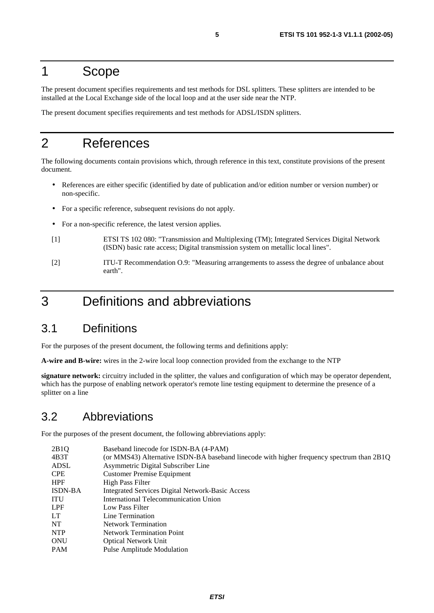### 1 Scope

The present document specifies requirements and test methods for DSL splitters. These splitters are intended to be installed at the Local Exchange side of the local loop and at the user side near the NTP.

The present document specifies requirements and test methods for ADSL/ISDN splitters.

# 2 References

The following documents contain provisions which, through reference in this text, constitute provisions of the present document.

- References are either specific (identified by date of publication and/or edition number or version number) or non-specific.
- For a specific reference, subsequent revisions do not apply.
- For a non-specific reference, the latest version applies.
- [1] ETSI TS 102 080: "Transmission and Multiplexing (TM); Integrated Services Digital Network (ISDN) basic rate access; Digital transmission system on metallic local lines".
- [2] ITU-T Recommendation O.9: "Measuring arrangements to assess the degree of unbalance about earth".

### 3 Definitions and abbreviations

### 3.1 Definitions

For the purposes of the present document, the following terms and definitions apply:

**A-wire and B-wire:** wires in the 2-wire local loop connection provided from the exchange to the NTP

**signature network:** circuitry included in the splitter, the values and configuration of which may be operator dependent, which has the purpose of enabling network operator's remote line testing equipment to determine the presence of a splitter on a line

#### 3.2 Abbreviations

For the purposes of the present document, the following abbreviations apply:

| Baseband linecode for ISDN-BA (4-PAM)                                                     |
|-------------------------------------------------------------------------------------------|
| (or MMS43) Alternative ISDN-BA baseband linecode with higher frequency spectrum than 2B1Q |
| Asymmetric Digital Subscriber Line                                                        |
| <b>Customer Premise Equipment</b>                                                         |
| <b>High Pass Filter</b>                                                                   |
| <b>Integrated Services Digital Network-Basic Access</b>                                   |
| International Telecommunication Union                                                     |
| Low Pass Filter                                                                           |
| Line Termination                                                                          |
| <b>Network Termination</b>                                                                |
| <b>Network Termination Point</b>                                                          |
| <b>Optical Network Unit</b>                                                               |
| Pulse Amplitude Modulation                                                                |
|                                                                                           |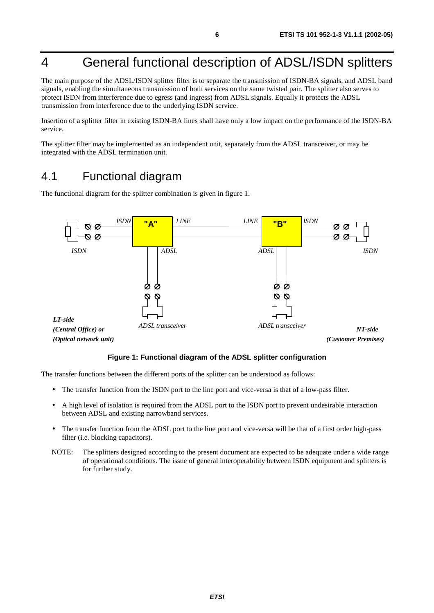# 4 General functional description of ADSL/ISDN splitters

The main purpose of the ADSL/ISDN splitter filter is to separate the transmission of ISDN-BA signals, and ADSL band signals, enabling the simultaneous transmission of both services on the same twisted pair. The splitter also serves to protect ISDN from interference due to egress (and ingress) from ADSL signals. Equally it protects the ADSL transmission from interference due to the underlying ISDN service.

Insertion of a splitter filter in existing ISDN-BA lines shall have only a low impact on the performance of the ISDN-BA service.

The splitter filter may be implemented as an independent unit, separately from the ADSL transceiver, or may be integrated with the ADSL termination unit.

### 4.1 Functional diagram

The functional diagram for the splitter combination is given in figure 1.



#### **Figure 1: Functional diagram of the ADSL splitter configuration**

The transfer functions between the different ports of the splitter can be understood as follows:

- The transfer function from the ISDN port to the line port and vice-versa is that of a low-pass filter.
- A high level of isolation is required from the ADSL port to the ISDN port to prevent undesirable interaction between ADSL and existing narrowband services.
- The transfer function from the ADSL port to the line port and vice-versa will be that of a first order high-pass filter (i.e. blocking capacitors).
- NOTE: The splitters designed according to the present document are expected to be adequate under a wide range of operational conditions. The issue of general interoperability between ISDN equipment and splitters is for further study.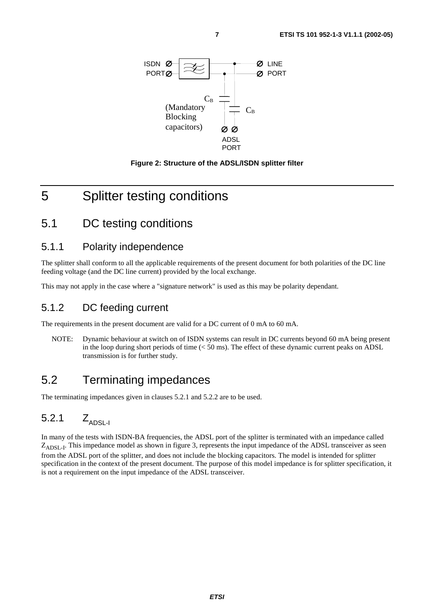



### 5 Splitter testing conditions

#### 5.1 DC testing conditions

#### 5.1.1 Polarity independence

The splitter shall conform to all the applicable requirements of the present document for both polarities of the DC line feeding voltage (and the DC line current) provided by the local exchange.

This may not apply in the case where a "signature network" is used as this may be polarity dependant.

#### 5.1.2 DC feeding current

The requirements in the present document are valid for a DC current of 0 mA to 60 mA.

NOTE: Dynamic behaviour at switch on of ISDN systems can result in DC currents beyond 60 mA being present in the loop during short periods of time  $(< 50 \text{ ms})$ . The effect of these dynamic current peaks on ADSL transmission is for further study.

### 5.2 Terminating impedances

The terminating impedances given in clauses 5.2.1 and 5.2.2 are to be used.

### 5.2.1  $Z_{\text{APSLL}}$

In many of the tests with ISDN-BA frequencies, the ADSL port of the splitter is terminated with an impedance called  $Z_{\text{ADSI-I}}$ . This impedance model as shown in figure 3, represents the input impedance of the ADSL transceiver as seen from the ADSL port of the splitter, and does not include the blocking capacitors. The model is intended for splitter specification in the context of the present document. The purpose of this model impedance is for splitter specification, it is not a requirement on the input impedance of the ADSL transceiver.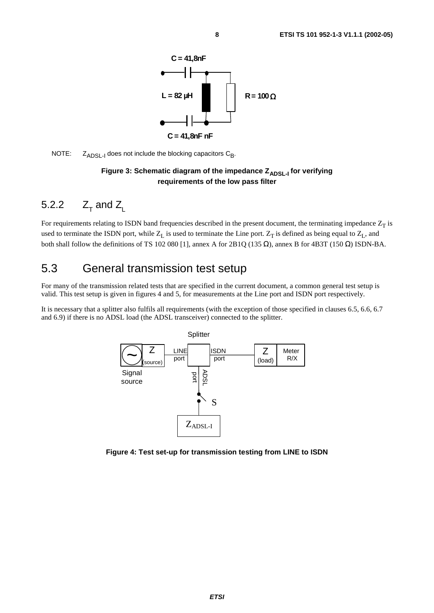

NOTE:  $Z_{\text{ADSL-1}}$  does not include the blocking capacitors  $C_{\text{B}}$ .

#### Figure 3: Schematic diagram of the impedance Z<sub>ADSL-I</sub> for verifying **requirements of the low pass filter**

### 5.2.2  $Z_{\tau}$  and  $Z_{\tau}$

For requirements relating to ISDN band frequencies described in the present document, the terminating impedance  $Z_T$  is used to terminate the ISDN port, while  $Z_L$  is used to terminate the Line port.  $Z_T$  is defined as being equal to  $Z_L$ , and both shall follow the definitions of TS 102 080 [1], annex A for 2B1Q (135 Ω), annex B for 4B3T (150 Ω) ISDN-BA.

### 5.3 General transmission test setup

For many of the transmission related tests that are specified in the current document, a common general test setup is valid. This test setup is given in figures 4 and 5, for measurements at the Line port and ISDN port respectively.

It is necessary that a splitter also fulfils all requirements (with the exception of those specified in clauses 6.5, 6.6, 6.7 and 6.9) if there is no ADSL load (the ADSL transceiver) connected to the splitter.



**Figure 4: Test set-up for transmission testing from LINE to ISDN**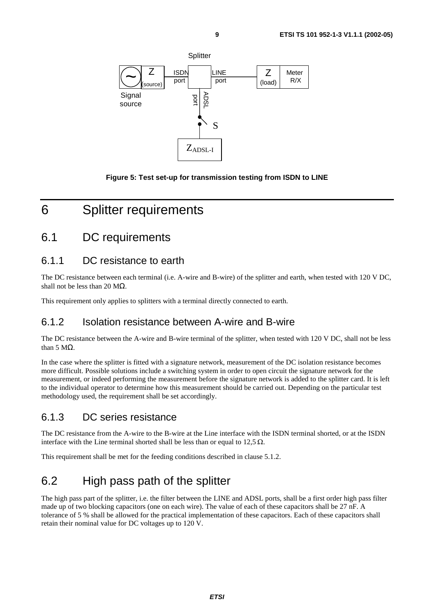

**Figure 5: Test set-up for transmission testing from ISDN to LINE**

# 6 Splitter requirements

### 6.1 DC requirements

#### 6.1.1 DC resistance to earth

The DC resistance between each terminal (i.e. A-wire and B-wire) of the splitter and earth, when tested with 120 V DC, shall not be less than 20  $MΩ$ .

This requirement only applies to splitters with a terminal directly connected to earth.

#### 6.1.2 Isolation resistance between A-wire and B-wire

The DC resistance between the A-wire and B-wire terminal of the splitter, when tested with 120 V DC, shall not be less than 5 MΩ.

In the case where the splitter is fitted with a signature network, measurement of the DC isolation resistance becomes more difficult. Possible solutions include a switching system in order to open circuit the signature network for the measurement, or indeed performing the measurement before the signature network is added to the splitter card. It is left to the individual operator to determine how this measurement should be carried out. Depending on the particular test methodology used, the requirement shall be set accordingly.

#### 6.1.3 DC series resistance

The DC resistance from the A-wire to the B-wire at the Line interface with the ISDN terminal shorted, or at the ISDN interface with the Line terminal shorted shall be less than or equal to 12,5  $\Omega$ .

This requirement shall be met for the feeding conditions described in clause 5.1.2.

### 6.2 High pass path of the splitter

The high pass part of the splitter, i.e. the filter between the LINE and ADSL ports, shall be a first order high pass filter made up of two blocking capacitors (one on each wire). The value of each of these capacitors shall be 27 nF. A tolerance of 5 % shall be allowed for the practical implementation of these capacitors. Each of these capacitors shall retain their nominal value for DC voltages up to 120 V.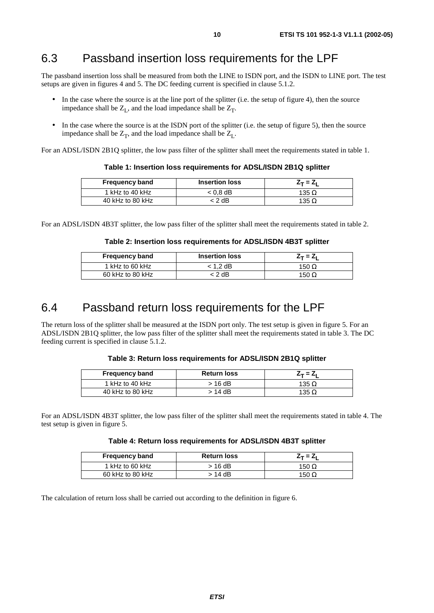### 6.3 Passband insertion loss requirements for the LPF

The passband insertion loss shall be measured from both the LINE to ISDN port, and the ISDN to LINE port. The test setups are given in figures 4 and 5. The DC feeding current is specified in clause 5.1.2.

- In the case where the source is at the line port of the splitter (i.e. the setup of figure 4), then the source impedance shall be  $Z<sub>L</sub>$ , and the load impedance shall be  $Z<sub>T</sub>$ .
- In the case where the source is at the ISDN port of the splitter (i.e. the setup of figure 5), then the source impedance shall be  $Z_T$ , and the load impedance shall be  $Z_L$ .

For an ADSL/ISDN 2B1Q splitter, the low pass filter of the splitter shall meet the requirements stated in table 1.

| <b>Frequency band</b> | <b>Insertion loss</b> | Z– = Z.      |
|-----------------------|-----------------------|--------------|
| 1 kHz to 40 kHz       | $< 0.8$ dB            | 135 $\Omega$ |
| 40 kHz to 80 kHz      | < 2 dB                | 135 $\Omega$ |

**Table 1: Insertion loss requirements for ADSL/ISDN 2B1Q splitter**

For an ADSL/ISDN 4B3T splitter, the low pass filter of the splitter shall meet the requirements stated in table 2.

#### **Table 2: Insertion loss requirements for ADSL/ISDN 4B3T splitter**

| <b>Frequency band</b> | <b>Insertion loss</b> | $Z_T = Z_1$  |
|-----------------------|-----------------------|--------------|
| 1 kHz to 60 kHz       | 1.2 $dB$              | 150 $\Omega$ |
| 60 kHz to 80 kHz      | : 2 dB                | 150 $\Omega$ |

### 6.4 Passband return loss requirements for the LPF

The return loss of the splitter shall be measured at the ISDN port only. The test setup is given in figure 5. For an ADSL/ISDN 2B1Q splitter, the low pass filter of the splitter shall meet the requirements stated in table 3. The DC feeding current is specified in clause 5.1.2.

#### **Table 3: Return loss requirements for ADSL/ISDN 2B1Q splitter**

| <b>Frequency band</b> | <b>Return loss</b> | $Z_T = Z_1$  |
|-----------------------|--------------------|--------------|
| 1 kHz to 40 kHz       | > 16 dB            | 135 $\Omega$ |
| 40 kHz to 80 kHz      | > 14 dB            | 135 $\Omega$ |

For an ADSL/ISDN 4B3T splitter, the low pass filter of the splitter shall meet the requirements stated in table 4. The test setup is given in figure 5.

#### **Table 4: Return loss requirements for ADSL/ISDN 4B3T splitter**

| <b>Frequency band</b> | <b>Return loss</b> | Z– = Z.      |
|-----------------------|--------------------|--------------|
| 1 kHz to 60 kHz       | > 16 dB            | 150 $\Omega$ |
| 60 kHz to 80 kHz      | > 14 dB            | 150 $\Omega$ |

The calculation of return loss shall be carried out according to the definition in figure 6.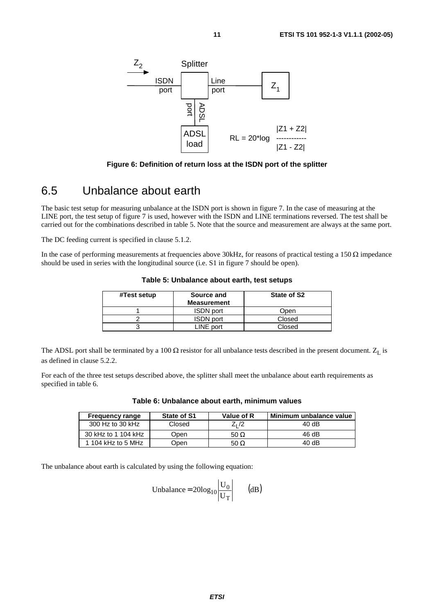

**Figure 6: Definition of return loss at the ISDN port of the splitter**

### 6.5 Unbalance about earth

The basic test setup for measuring unbalance at the ISDN port is shown in figure 7. In the case of measuring at the LINE port, the test setup of figure 7 is used, however with the ISDN and LINE terminations reversed. The test shall be carried out for the combinations described in table 5. Note that the source and measurement are always at the same port.

The DC feeding current is specified in clause 5.1.2.

In the case of performing measurements at frequencies above 30kHz, for reasons of practical testing a 150  $\Omega$  impedance should be used in series with the longitudinal source (i.e. S1 in figure 7 should be open).

| #Test setup | Source and<br><b>Measurement</b> | State of S2 |
|-------------|----------------------------------|-------------|
|             | <b>ISDN</b> port                 | Open        |
|             | <b>ISDN</b> port                 | Closed      |
|             | LINE port                        | Closed      |

**Table 5: Unbalance about earth, test setups**

The ADSL port shall be terminated by a 100  $\Omega$  resistor for all unbalance tests described in the present document.  $Z_L$  is as defined in clause 5.2.2.

For each of the three test setups described above, the splitter shall meet the unbalance about earth requirements as specified in table 6.

| <b>Frequency range</b> | State of S1 | Value of R  | Minimum unbalance value |
|------------------------|-------------|-------------|-------------------------|
| 300 Hz to 30 kHz       | Closed      | $Z1$ /2     | 40 dB                   |
| 30 kHz to 1 104 kHz    | Open        | 50 $\Omega$ | 46 dB                   |
| 1 104 kHz to 5 MHz     | Dpen        | 50 $\Omega$ | 40 dB                   |

**Table 6: Unbalance about earth, minimum values**

The unbalance about earth is calculated by using the following equation:

Unbalance = 
$$
20\log_{10} \left| \frac{U_0}{U_T} \right|
$$
 (dB)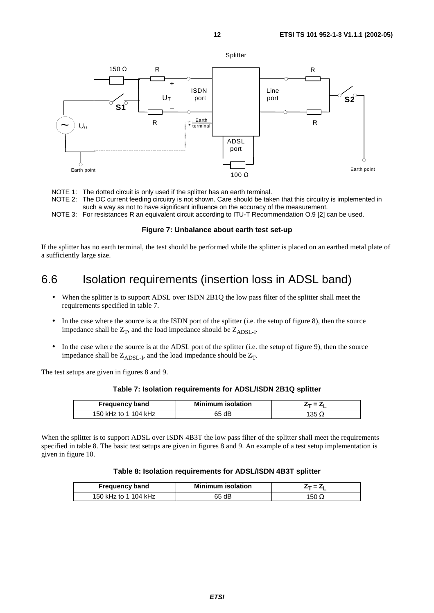

NOTE 1: The dotted circuit is only used if the splitter has an earth terminal.

- NOTE 2: The DC current feeding circuitry is not shown. Care should be taken that this circuitry is implemented in such a way as not to have significant influence on the accuracy of the measurement.
- NOTE 3: For resistances R an equivalent circuit according to ITU-T Recommendation O.9 [2] can be used.

#### **Figure 7: Unbalance about earth test set-up**

If the splitter has no earth terminal, the test should be performed while the splitter is placed on an earthed metal plate of a sufficiently large size.

### 6.6 Isolation requirements (insertion loss in ADSL band)

- When the splitter is to support ADSL over ISDN 2B1Q the low pass filter of the splitter shall meet the requirements specified in table 7.
- In the case where the source is at the ISDN port of the splitter (i.e. the setup of figure 8), then the source impedance shall be  $Z_T$ , and the load impedance should be  $Z_{\text{ADSL-1}}$ .
- In the case where the source is at the ADSL port of the splitter (i.e. the setup of figure 9), then the source impedance shall be  $Z_{\text{ADSL-1}}$ , and the load impedance should be  $Z_{\text{T}}$ .

The test setups are given in figures 8 and 9.

#### **Table 7: Isolation requirements for ADSL/ISDN 2B1Q splitter**

| <b>Frequency band</b> | <b>Minimum isolation</b> | $Z_T = Z_T$ |
|-----------------------|--------------------------|-------------|
| 150 kHz to 1 104 kHz  | 65 dB                    | '35 Ω       |

When the splitter is to support ADSL over ISDN 4B3T the low pass filter of the splitter shall meet the requirements specified in table 8. The basic test setups are given in figures 8 and 9. An example of a test setup implementation is given in figure 10.

#### **Table 8: Isolation requirements for ADSL/ISDN 4B3T splitter**

| <b>Frequency band</b> | <b>Minimum isolation</b> | $\gamma$ = $\epsilon$ |
|-----------------------|--------------------------|-----------------------|
| 150 kHz to 1 104 kHz  | 65 dB                    | 150 $\, \Omega$       |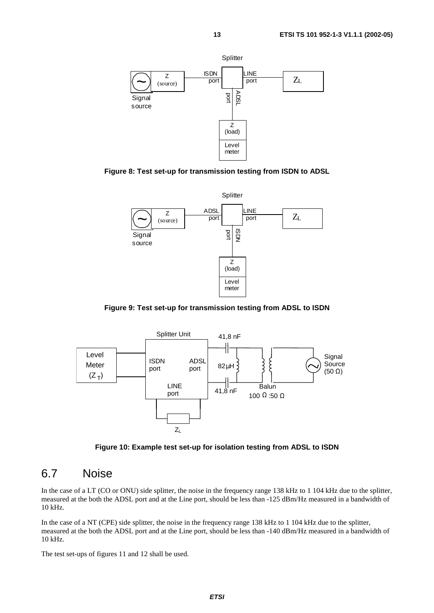

**Figure 8: Test set-up for transmission testing from ISDN to ADSL**



**Figure 9: Test set-up for transmission testing from ADSL to ISDN**



**Figure 10: Example test set-up for isolation testing from ADSL to ISDN**

#### 6.7 Noise

In the case of a LT (CO or ONU) side splitter, the noise in the frequency range 138 kHz to 1 104 kHz due to the splitter, measured at the both the ADSL port and at the Line port, should be less than -125 dBm/Hz measured in a bandwidth of 10 kHz.

In the case of a NT (CPE) side splitter, the noise in the frequency range 138 kHz to 1 104 kHz due to the splitter, measured at the both the ADSL port and at the Line port, should be less than -140 dBm/Hz measured in a bandwidth of 10 kHz.

The test set-ups of figures 11 and 12 shall be used.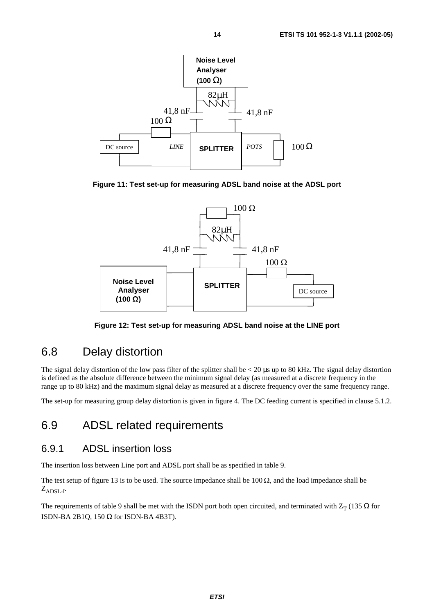

**Figure 11: Test set-up for measuring ADSL band noise at the ADSL port**



**Figure 12: Test set-up for measuring ADSL band noise at the LINE port**

### 6.8 Delay distortion

The signal delay distortion of the low pass filter of the splitter shall be  $< 20 \mu s$  up to 80 kHz. The signal delay distortion is defined as the absolute difference between the minimum signal delay (as measured at a discrete frequency in the range up to 80 kHz) and the maximum signal delay as measured at a discrete frequency over the same frequency range.

The set-up for measuring group delay distortion is given in figure 4. The DC feeding current is specified in clause 5.1.2.

#### 6.9 ADSL related requirements

#### 6.9.1 ADSL insertion loss

The insertion loss between Line port and ADSL port shall be as specified in table 9.

The test setup of figure 13 is to be used. The source impedance shall be 100  $\Omega$ , and the load impedance shall be  $Z_{\text{ADSL-1}}$ .

The requirements of table 9 shall be met with the ISDN port both open circuited, and terminated with  $Z_T$  (135  $\Omega$  for ISDN-BA 2B1Q, 150 Ω for ISDN-BA 4B3T).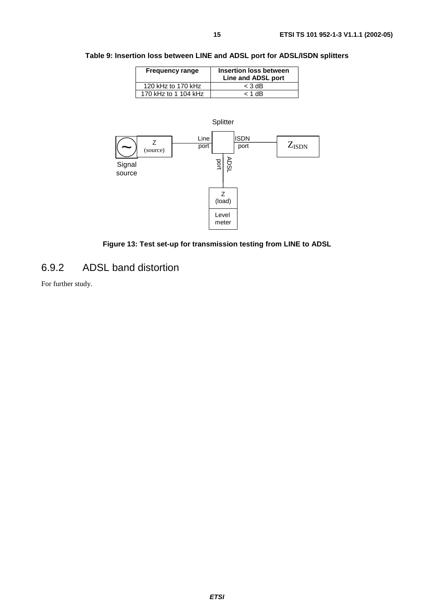#### **Table 9: Insertion loss between LINE and ADSL port for ADSL/ISDN splitters**

| <b>Frequency range</b> | Insertion loss between<br>Line and ADSL port |
|------------------------|----------------------------------------------|
| 120 kHz to 170 kHz     | $<$ 3 dB                                     |
| 170 kHz to 1 104 kHz   | $<$ 1 dB                                     |





#### 6.9.2 ADSL band distortion

For further study.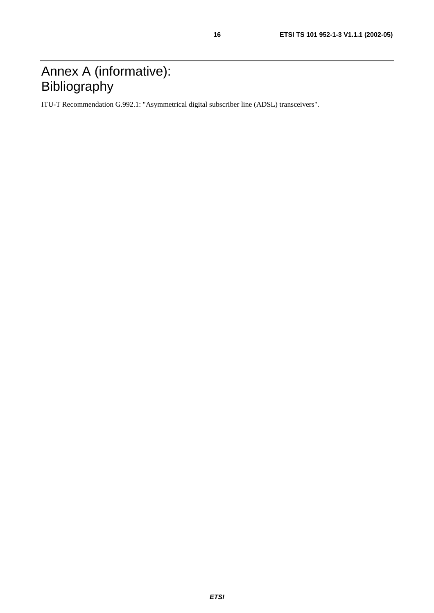ITU-T Recommendation G.992.1: "Asymmetrical digital subscriber line (ADSL) transceivers".